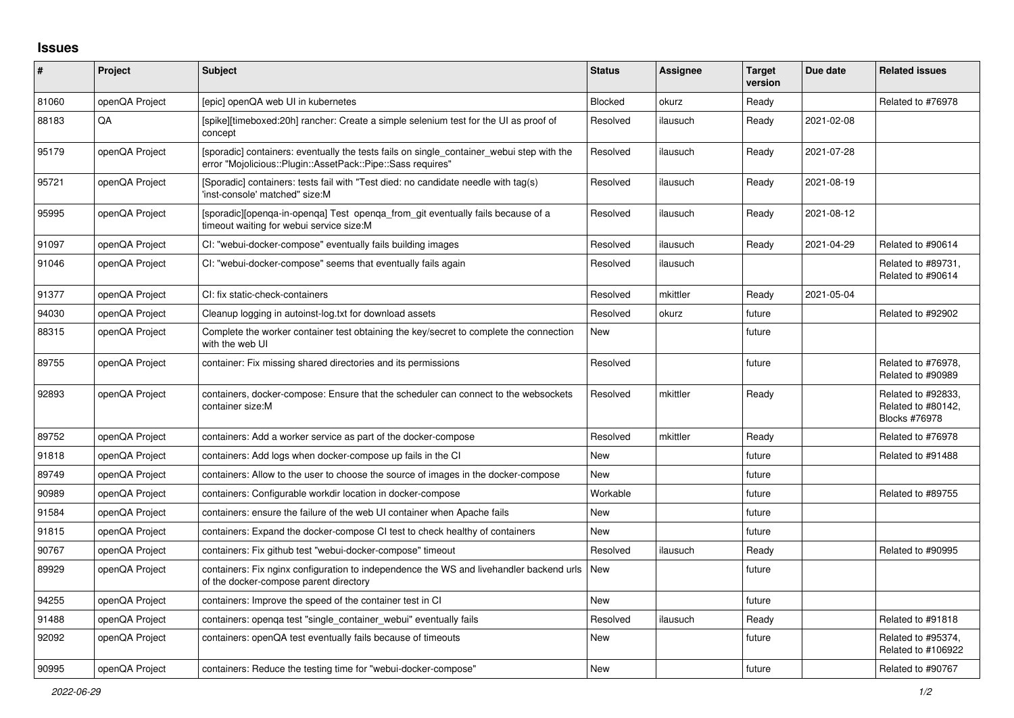## **Issues**

| #     | Project        | <b>Subject</b>                                                                                                                                           | <b>Status</b> | <b>Assignee</b> | <b>Target</b><br>version | Due date   | <b>Related issues</b>                                            |
|-------|----------------|----------------------------------------------------------------------------------------------------------------------------------------------------------|---------------|-----------------|--------------------------|------------|------------------------------------------------------------------|
| 81060 | openQA Project | Tepic] openQA web UI in kubernetes                                                                                                                       | Blocked       | okurz           | Ready                    |            | Related to #76978                                                |
| 88183 | QA             | [spike][timeboxed:20h] rancher: Create a simple selenium test for the UI as proof of<br>concept                                                          | Resolved      | ilausuch        | Ready                    | 2021-02-08 |                                                                  |
| 95179 | openQA Project | [sporadic] containers: eventually the tests fails on single container webui step with the<br>error "Mojolicious::Plugin::AssetPack::Pipe::Sass requires" | Resolved      | ilausuch        | Ready                    | 2021-07-28 |                                                                  |
| 95721 | openQA Project | [Sporadic] containers: tests fail with "Test died: no candidate needle with tag(s)<br>'inst-console' matched" size:M                                     | Resolved      | ilausuch        | Ready                    | 2021-08-19 |                                                                  |
| 95995 | openQA Project | [sporadic][openga-in-openga] Test openga from git eventually fails because of a<br>timeout waiting for webui service size:M                              | Resolved      | ilausuch        | Ready                    | 2021-08-12 |                                                                  |
| 91097 | openQA Project | CI: "webui-docker-compose" eventually fails building images                                                                                              | Resolved      | ilausuch        | Ready                    | 2021-04-29 | Related to #90614                                                |
| 91046 | openQA Project | CI: "webui-docker-compose" seems that eventually fails again                                                                                             | Resolved      | ilausuch        |                          |            | Related to #89731,<br>Related to #90614                          |
| 91377 | openQA Project | CI: fix static-check-containers                                                                                                                          | Resolved      | mkittler        | Ready                    | 2021-05-04 |                                                                  |
| 94030 | openQA Project | Cleanup logging in autoinst-log.txt for download assets                                                                                                  | Resolved      | okurz           | future                   |            | Related to #92902                                                |
| 88315 | openQA Project | Complete the worker container test obtaining the key/secret to complete the connection<br>with the web UI                                                | <b>New</b>    |                 | future                   |            |                                                                  |
| 89755 | openQA Project | container: Fix missing shared directories and its permissions                                                                                            | Resolved      |                 | future                   |            | Related to #76978,<br>Related to #90989                          |
| 92893 | openQA Project | containers, docker-compose: Ensure that the scheduler can connect to the websockets<br>container size:M                                                  | Resolved      | mkittler        | Ready                    |            | Related to #92833,<br>Related to #80142,<br><b>Blocks #76978</b> |
| 89752 | openQA Project | containers: Add a worker service as part of the docker-compose                                                                                           | Resolved      | mkittler        | Ready                    |            | Related to #76978                                                |
| 91818 | openQA Project | containers: Add logs when docker-compose up fails in the CI                                                                                              | New           |                 | future                   |            | Related to #91488                                                |
| 89749 | openQA Project | containers: Allow to the user to choose the source of images in the docker-compose                                                                       | New           |                 | future                   |            |                                                                  |
| 90989 | openQA Project | containers: Configurable workdir location in docker-compose                                                                                              | Workable      |                 | future                   |            | Related to #89755                                                |
| 91584 | openQA Project | containers: ensure the failure of the web UI container when Apache fails                                                                                 | New           |                 | future                   |            |                                                                  |
| 91815 | openQA Project | containers: Expand the docker-compose CI test to check healthy of containers                                                                             | <b>New</b>    |                 | future                   |            |                                                                  |
| 90767 | openQA Project | containers: Fix github test "webui-docker-compose" timeout                                                                                               | Resolved      | ilausuch        | Ready                    |            | Related to #90995                                                |
| 89929 | openQA Project | containers: Fix nginx configuration to independence the WS and livehandler backend urls<br>of the docker-compose parent directory                        | New           |                 | future                   |            |                                                                  |
| 94255 | openQA Project | containers: Improve the speed of the container test in CI                                                                                                | <b>New</b>    |                 | future                   |            |                                                                  |
| 91488 | openQA Project | containers: openga test "single container webui" eventually fails                                                                                        | Resolved      | ilausuch        | Ready                    |            | Related to #91818                                                |
| 92092 | openQA Project | containers: openQA test eventually fails because of timeouts                                                                                             | New           |                 | future                   |            | Related to #95374,<br>Related to #106922                         |
| 90995 | openQA Project | containers: Reduce the testing time for "webui-docker-compose"                                                                                           | <b>New</b>    |                 | future                   |            | Related to #90767                                                |